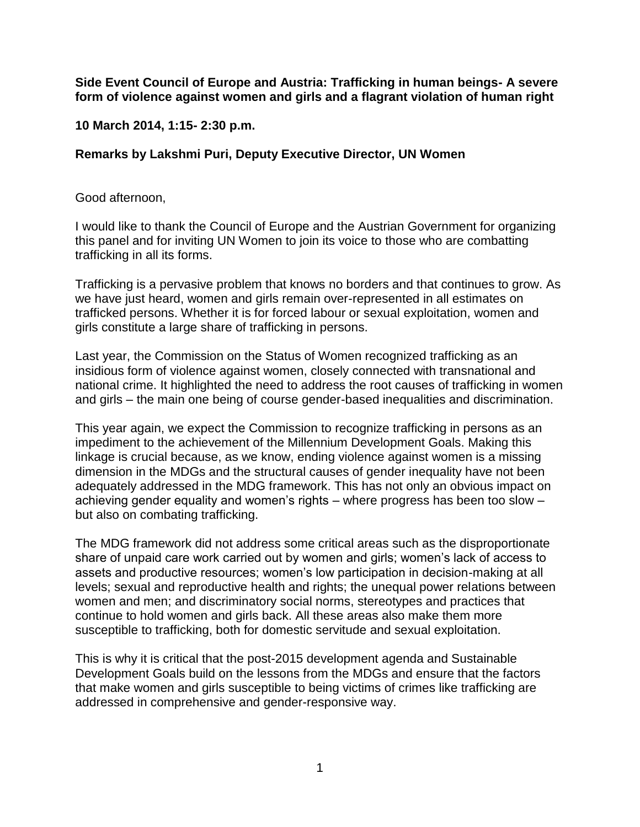**Side Event Council of Europe and Austria: Trafficking in human beings- A severe form of violence against women and girls and a flagrant violation of human right**

**10 March 2014, 1:15- 2:30 p.m.**

## **Remarks by Lakshmi Puri, Deputy Executive Director, UN Women**

Good afternoon,

I would like to thank the Council of Europe and the Austrian Government for organizing this panel and for inviting UN Women to join its voice to those who are combatting trafficking in all its forms.

Trafficking is a pervasive problem that knows no borders and that continues to grow. As we have just heard, women and girls remain over-represented in all estimates on trafficked persons. Whether it is for forced labour or sexual exploitation, women and girls constitute a large share of trafficking in persons.

Last year, the Commission on the Status of Women recognized trafficking as an insidious form of violence against women, closely connected with transnational and national crime. It highlighted the need to address the root causes of trafficking in women and girls – the main one being of course gender-based inequalities and discrimination.

This year again, we expect the Commission to recognize trafficking in persons as an impediment to the achievement of the Millennium Development Goals. Making this linkage is crucial because, as we know, ending violence against women is a missing dimension in the MDGs and the structural causes of gender inequality have not been adequately addressed in the MDG framework. This has not only an obvious impact on achieving gender equality and women's rights – where progress has been too slow – but also on combating trafficking.

The MDG framework did not address some critical areas such as the disproportionate share of unpaid care work carried out by women and girls; women's lack of access to assets and productive resources; women's low participation in decision-making at all levels; sexual and reproductive health and rights; the unequal power relations between women and men; and discriminatory social norms, stereotypes and practices that continue to hold women and girls back. All these areas also make them more susceptible to trafficking, both for domestic servitude and sexual exploitation.

This is why it is critical that the post-2015 development agenda and Sustainable Development Goals build on the lessons from the MDGs and ensure that the factors that make women and girls susceptible to being victims of crimes like trafficking are addressed in comprehensive and gender-responsive way.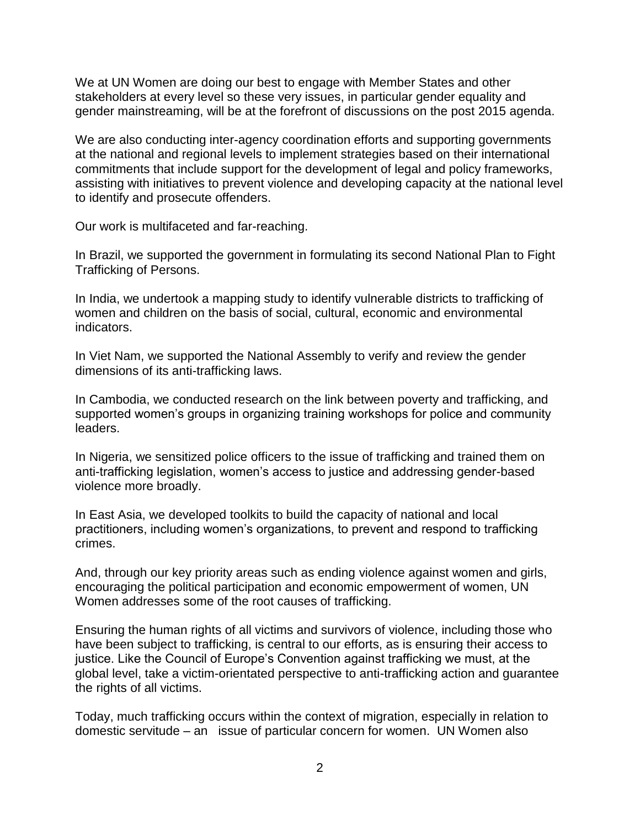We at UN Women are doing our best to engage with Member States and other stakeholders at every level so these very issues, in particular gender equality and gender mainstreaming, will be at the forefront of discussions on the post 2015 agenda.

We are also conducting inter-agency coordination efforts and supporting governments at the national and regional levels to implement strategies based on their international commitments that include support for the development of legal and policy frameworks, assisting with initiatives to prevent violence and developing capacity at the national level to identify and prosecute offenders.

Our work is multifaceted and far-reaching.

In Brazil, we supported the government in formulating its second National Plan to Fight Trafficking of Persons.

In India, we undertook a mapping study to identify vulnerable districts to trafficking of women and children on the basis of social, cultural, economic and environmental indicators.

In Viet Nam, we supported the National Assembly to verify and review the gender dimensions of its anti-trafficking laws.

In Cambodia, we conducted research on the link between poverty and trafficking, and supported women's groups in organizing training workshops for police and community leaders.

In Nigeria, we sensitized police officers to the issue of trafficking and trained them on anti-trafficking legislation, women's access to justice and addressing gender-based violence more broadly.

In East Asia, we developed toolkits to build the capacity of national and local practitioners, including women's organizations, to prevent and respond to trafficking crimes.

And, through our key priority areas such as ending violence against women and girls, encouraging the political participation and economic empowerment of women, UN Women addresses some of the root causes of trafficking.

Ensuring the human rights of all victims and survivors of violence, including those who have been subject to trafficking, is central to our efforts, as is ensuring their access to justice. Like the Council of Europe's Convention against trafficking we must, at the global level, take a victim-orientated perspective to anti-trafficking action and guarantee the rights of all victims.

Today, much trafficking occurs within the context of migration, especially in relation to domestic servitude – an issue of particular concern for women. UN Women also